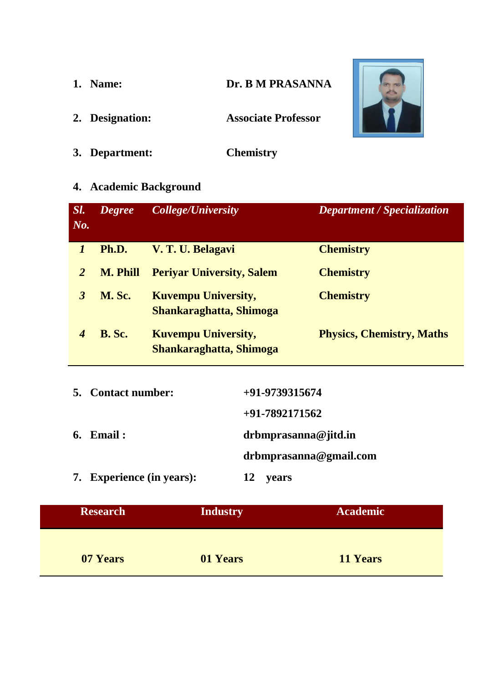# **1. Name: Dr. B M PRASANNA**

- **2. Designation: Associate Professor**
- **3. Department: Chemistry**

# **4. Academic Background**

| Sl.<br>$N_{0}$ . | <b>Degree</b>   | <i>College/University</i>                             | <b>Department / Specialization</b> |
|------------------|-----------------|-------------------------------------------------------|------------------------------------|
| $\bm{l}$         | Ph.D.           | V. T. U. Belagavi                                     | <b>Chemistry</b>                   |
| 2                | <b>M. Phill</b> | <b>Periyar University, Salem</b>                      | <b>Chemistry</b>                   |
| 3                | M. Sc.          | <b>Kuvempu University,</b><br>Shankaraghatta, Shimoga | <b>Chemistry</b>                   |
| 4                | <b>B.</b> Sc.   | <b>Kuvempu University,</b><br>Shankaraghatta, Shimoga | <b>Physics, Chemistry, Maths</b>   |
|                  |                 |                                                       |                                    |

| <b>5.</b> Contact number: | $+91-9739315674$       |
|---------------------------|------------------------|
|                           | $+91-7892171562$       |
| <b>6.</b> Email:          | drbmprasanna@jitd.in   |
|                           | drbmprasanna@gmail.com |
| 7. Experience (in years): | 12<br>years            |

| <b>Research</b> | <b>Industry</b> | <b>Academic</b> |  |
|-----------------|-----------------|-----------------|--|
|                 |                 |                 |  |
| 07 Years        | 01 Years        | 11 Years        |  |

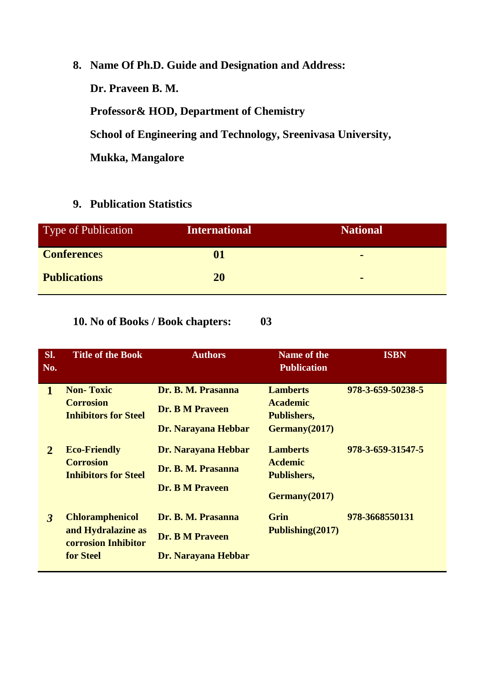**8. Name Of Ph.D. Guide and Designation and Address:** 

**Dr. Praveen B. M.**

**Professor& HOD, Department of Chemistry**

 **School of Engineering and Technology, Sreenivasa University,** 

 **Mukka, Mangalore**

### **9. Publication Statistics**

| <b>Type of Publication</b> | <b>International</b> | <b>National</b> |
|----------------------------|----------------------|-----------------|
| <b>Conferences</b>         | 01                   | $\blacksquare$  |
| <b>Publications</b>        | 20                   | $\blacksquare$  |

#### **10. No of Books / Book chapters: 03**

| SI.<br>No.     | <b>Title of the Book</b>                                                         | <b>Authors</b>                                                      | Name of the<br><b>Publication</b>                                         | <b>ISBN</b>       |
|----------------|----------------------------------------------------------------------------------|---------------------------------------------------------------------|---------------------------------------------------------------------------|-------------------|
| $\mathbf{1}$   | <b>Non-Toxic</b><br><b>Corrosion</b><br><b>Inhibitors for Steel</b>              | Dr. B. M. Prasanna<br><b>Dr. B M Praveen</b><br>Dr. Narayana Hebbar | <b>Lamberts</b><br><b>Academic</b><br><b>Publishers,</b><br>Germany(2017) | 978-3-659-50238-5 |
| $\overline{2}$ | <b>Eco-Friendly</b><br><b>Corrosion</b><br><b>Inhibitors for Steel</b>           | Dr. Narayana Hebbar<br>Dr. B. M. Prasanna<br><b>Dr. B M Praveen</b> | <b>Lamberts</b><br><b>Acdemic</b><br><b>Publishers,</b><br>Germany(2017)  | 978-3-659-31547-5 |
| $\mathbf{3}$   | <b>Chloramphenicol</b><br>and Hydralazine as<br>corrosion Inhibitor<br>for Steel | Dr. B. M. Prasanna<br>Dr. B M Praveen<br>Dr. Narayana Hebbar        | Grin<br>Publishing(2017)                                                  | 978-3668550131    |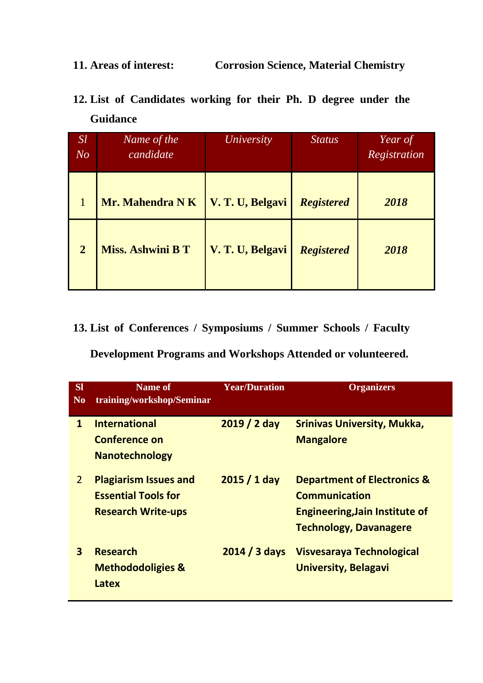#### **11. Areas of interest: Corrosion Science, Material Chemistry**

| <sub>Sl</sub><br>N <sub>O</sub> | Name of the<br>candidate | <i>University</i> | <b>Status</b>     | Year of<br>Registration |
|---------------------------------|--------------------------|-------------------|-------------------|-------------------------|
| 1                               | Mr. Mahendra N K         | V. T. U, Belgavi  | <b>Registered</b> | 2018                    |
| $\overline{2}$                  | <b>Miss. Ashwini B T</b> | V. T. U, Belgavi  | <b>Registered</b> | 2018                    |

## **12. List of Candidates working for their Ph. D degree under the Guidance**

## **13. List of Conferences / Symposiums / Summer Schools / Faculty**

## **Development Programs and Workshops Attended or volunteered.**

| SI<br>N <sub>0</sub> | <b>Name of</b><br>training/workshop/Seminar                                             | <b>Year/Duration</b> | <b>Organizers</b>                                                                                                                        |
|----------------------|-----------------------------------------------------------------------------------------|----------------------|------------------------------------------------------------------------------------------------------------------------------------------|
| $\mathbf{1}$         | <b>International</b><br><b>Conference on</b><br><b>Nanotechnology</b>                   | 2019 / 2 day         | <b>Srinivas University, Mukka,</b><br><b>Mangalore</b>                                                                                   |
| $\overline{2}$       | <b>Plagiarism Issues and</b><br><b>Essential Tools for</b><br><b>Research Write-ups</b> | $2015/1$ day         | <b>Department of Electronics &amp;</b><br><b>Communication</b><br><b>Engineering, Jain Institute of</b><br><b>Technology, Davanagere</b> |
| $\mathbf{3}$         | <b>Research</b><br><b>Methododoligies &amp;</b><br>Latex                                | $2014/3$ days        | <b>Visvesaraya Technological</b><br><b>University, Belagavi</b>                                                                          |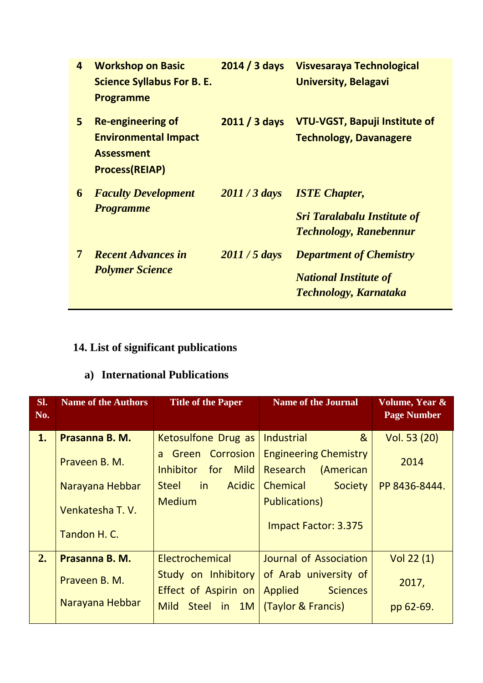| 4 | <b>Workshop on Basic</b><br><b>Science Syllabus For B. E.</b><br><b>Programme</b>                     | $2014/3$ days | <b>Visvesaraya Technological</b><br><b>University, Belagavi</b>                                |
|---|-------------------------------------------------------------------------------------------------------|---------------|------------------------------------------------------------------------------------------------|
| 5 | <b>Re-engineering of</b><br><b>Environmental Impact</b><br><b>Assessment</b><br><b>Process(REIAP)</b> | $2011/3$ days | <b>VTU-VGST, Bapuji Institute of</b><br><b>Technology, Davanagere</b>                          |
| 6 | <b>Faculty Development</b><br><b>Programme</b>                                                        | $2011/3$ days | <b>ISTE Chapter,</b><br><b>Sri Taralabalu Institute of</b><br><b>Technology, Ranebennur</b>    |
| 7 | <b>Recent Advances in</b><br><b>Polymer Science</b>                                                   | $2011/5$ days | <b>Department of Chemistry</b><br><b>National Institute of</b><br><b>Technology, Karnataka</b> |

# **14. List of significant publications**

## **a) International Publications**

| SI.<br>No. | <b>Name of the Authors</b> | <b>Title of the Paper</b>                         | <b>Name of the Journal</b>                            | Volume, Year &<br><b>Page Number</b> |
|------------|----------------------------|---------------------------------------------------|-------------------------------------------------------|--------------------------------------|
| 1.         | Prasanna B. M.             | Ketosulfone Drug as                               | 8 <sub>k</sub><br>Industrial                          | Vol. 53 (20)                         |
|            | Prayeen B. M.              | a Green Corrosion<br><b>Inhibitor</b><br>for Mild | <b>Engineering Chemistry</b><br>Research<br>(American | 2014                                 |
|            | Narayana Hebbar            | in<br><b>Acidic</b><br><b>Steel</b>               | <b>Chemical</b><br><b>Society</b>                     | PP 8436-8444.                        |
|            | Venkatesha T.V.            | <b>Medium</b>                                     | <b>Publications)</b>                                  |                                      |
|            | Tandon H. C.               |                                                   | <b>Impact Factor: 3.375</b>                           |                                      |
| 2.         | Prasanna B. M.             | Electrochemical                                   | Journal of Association                                | Vol 22(1)                            |
|            | Praveen B. M.              | Study on Inhibitory<br>Effect of Aspirin on       | of Arab university of<br>Applied<br><b>Sciences</b>   | 2017,                                |
|            | Narayana Hebbar            | Mild Steel in 1M                                  | (Taylor & Francis)                                    | pp 62-69.                            |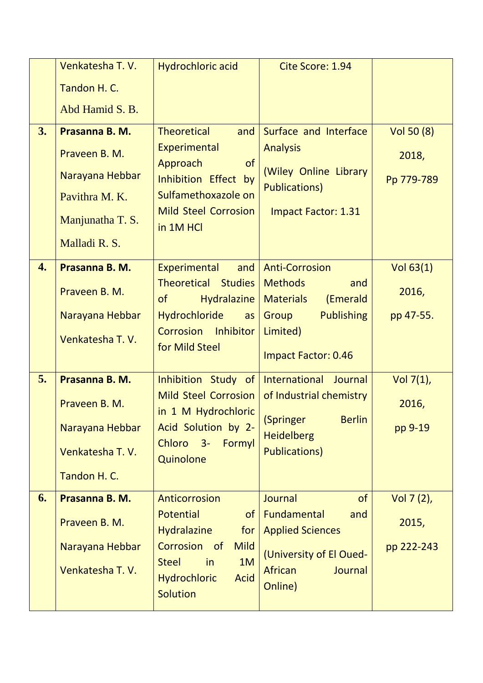|                  | Venkatesha T.V.                   | Hydrochloric acid                                                                 | Cite Score: 1.94                                                               |                      |
|------------------|-----------------------------------|-----------------------------------------------------------------------------------|--------------------------------------------------------------------------------|----------------------|
|                  | Tandon H. C.                      |                                                                                   |                                                                                |                      |
|                  | Abd Hamid S. B.                   |                                                                                   |                                                                                |                      |
| 3.               | Prasanna B. M.<br>Praveen B. M.   | <b>Theoretical</b><br>and<br>Experimental<br>of<br>Approach                       | Surface and Interface<br><b>Analysis</b><br>(Wiley Online Library              | Vol 50 (8)<br>2018,  |
|                  | Narayana Hebbar<br>Pavithra M. K. | Inhibition Effect by<br>Sulfamethoxazole on                                       | <b>Publications)</b>                                                           | Pp 779-789           |
|                  | Manjunatha T. S.<br>Malladi R. S. | <b>Mild Steel Corrosion</b><br>in 1M HCl                                          | <b>Impact Factor: 1.31</b>                                                     |                      |
|                  |                                   |                                                                                   |                                                                                |                      |
| $\overline{4}$ . | Prasanna B. M.<br>Praveen B. M.   | Experimental<br>and<br><b>Theoretical Studies</b><br><b>of</b><br>Hydralazine     | <b>Anti-Corrosion</b><br><b>Methods</b><br>and<br>(Emerald<br><b>Materials</b> | Vol $63(1)$<br>2016, |
|                  | Narayana Hebbar                   | Hydrochloride<br>as                                                               | <b>Publishing</b><br>Group                                                     | pp 47-55.            |
|                  | Venkatesha T.V.                   | <b>Corrosion</b><br>Inhibitor<br>for Mild Steel                                   | Limited)<br><b>Impact Factor: 0.46</b>                                         |                      |
| 5.               | Prasanna B. M.                    | Inhibition Study of                                                               | International<br>Journal                                                       | Vol 7(1),            |
|                  | Praveen B. M.                     | <b>Mild Steel Corrosion</b>                                                       | of Industrial chemistry                                                        | 2016,                |
|                  | Narayana Hebbar                   | in 1 M Hydrochloric<br>Acid Solution by 2-<br>Chloro<br>$3-$<br>Formyl            | (Springer<br><b>Berlin</b><br><b>Heidelberg</b>                                | pp 9-19              |
|                  | Venkatesha T.V.                   | Quinolone                                                                         | <b>Publications)</b>                                                           |                      |
|                  | Tandon H. C.                      |                                                                                   |                                                                                |                      |
| 6.               | Prasanna B. M.                    | Anticorrosion                                                                     | Journal<br>of                                                                  | Vol 7 (2),           |
|                  | Praveen B. M.                     | Potential<br><sub>of</sub><br><b>Hydralazine</b><br>for                           | Fundamental<br>and<br><b>Applied Sciences</b>                                  | 2015,                |
|                  | Narayana Hebbar                   | Corrosion of<br><b>Mild</b>                                                       | (University of El Oued-                                                        | pp 222-243           |
|                  | Venkatesha T.V.                   | 1M<br><b>Steel</b><br>in<br><b>Hydrochloric</b><br><b>Acid</b><br><b>Solution</b> | <b>African</b><br>Journal<br>Online)                                           |                      |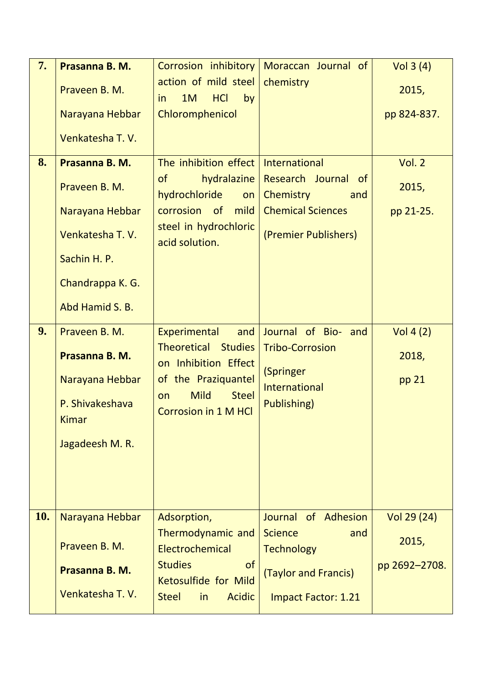| 7.<br>8.   | Prasanna B. M.<br>Praveen B. M.<br>Narayana Hebbar<br>Venkatesha T.V.<br>Prasanna B. M.<br>Praveen B. M. | Corrosion inhibitory<br>action of mild steel<br>1M<br><b>HCI</b><br>by<br><i>in</i><br>Chloromphenicol<br>The inhibition effect<br>of<br>hydralazine<br>hydrochloride<br>on | Moraccan Journal of<br>chemistry<br>International<br>Research Journal of<br>Chemistry<br>and                            | Vol $3(4)$<br>2015,<br>pp 824-837.<br><b>Vol. 2</b><br>2015, |
|------------|----------------------------------------------------------------------------------------------------------|-----------------------------------------------------------------------------------------------------------------------------------------------------------------------------|-------------------------------------------------------------------------------------------------------------------------|--------------------------------------------------------------|
|            | Narayana Hebbar<br>Venkatesha T.V.<br>Sachin H. P.<br>Chandrappa K. G.<br>Abd Hamid S. B.                | corrosion of<br>mild<br>steel in hydrochloric<br>acid solution.                                                                                                             | <b>Chemical Sciences</b><br>(Premier Publishers)                                                                        | pp 21-25.                                                    |
| 9.         | Praveen B. M.<br>Prasanna B. M.<br>Narayana Hebbar<br>P. Shivakeshava<br><b>Kimar</b><br>Jagadeesh M. R. | Experimental<br>and<br><b>Theoretical Studies</b><br>on Inhibition Effect<br>of the Praziquantel<br><b>Mild</b><br><b>Steel</b><br>on<br><b>Corrosion in 1 M HCI</b>        | Journal of Bio- and<br><b>Tribo-Corrosion</b><br>(Springer<br><b>International</b><br><b>Publishing)</b>                | Vol $4(2)$<br>2018,<br>pp 21                                 |
| <b>10.</b> | Narayana Hebbar<br>Praveen B. M.<br>Prasanna B. M.<br>Venkatesha T.V.                                    | Adsorption,<br>Thermodynamic and<br>Electrochemical<br><b>Studies</b><br><b>of</b><br><b>Ketosulfide for Mild</b><br><b>Steel</b><br>in<br><b>Acidic</b>                    | Journal of Adhesion<br><b>Science</b><br>and<br><b>Technology</b><br>(Taylor and Francis)<br><b>Impact Factor: 1.21</b> | Vol 29 (24)<br>2015,<br>pp 2692-2708.                        |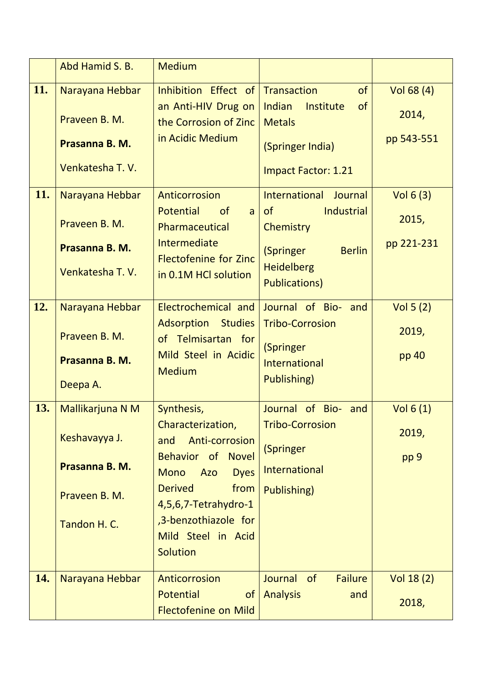|     | Abd Hamid S. B.  | <b>Medium</b>                                         |                                                              |             |
|-----|------------------|-------------------------------------------------------|--------------------------------------------------------------|-------------|
| 11. | Narayana Hebbar  | Inhibition Effect of                                  | of<br><b>Transaction</b>                                     | Vol 68 (4)  |
|     | Praveen B. M.    | an Anti-HIV Drug on<br>the Corrosion of Zinc          | <b>Indian</b><br>Institute<br><sub>of</sub><br><b>Metals</b> | 2014,       |
|     | Prasanna B. M.   | in Acidic Medium                                      | (Springer India)                                             | pp 543-551  |
|     | Venkatesha T.V.  |                                                       | <b>Impact Factor: 1.21</b>                                   |             |
| 11. | Narayana Hebbar  | Anticorrosion                                         | International<br>Journal                                     | Vol $6(3)$  |
|     | Praveen B. M.    | Potential<br><sub>of</sub><br>a.<br>Pharmaceutical    | Industrial<br><b>of</b><br>Chemistry                         | 2015,       |
|     | Prasanna B. M.   | Intermediate<br><b>Flectofenine for Zinc</b>          | (Springer<br><b>Berlin</b>                                   | pp 221-231  |
|     | Venkatesha T.V.  | in 0.1M HCl solution                                  | <b>Heidelberg</b><br><b>Publications)</b>                    |             |
| 12. | Narayana Hebbar  | Electrochemical and                                   | Journal of Bio-<br>and                                       | Vol 5 $(2)$ |
|     | Praveen B. M.    | <b>Adsorption Studies</b>                             | <b>Tribo-Corrosion</b>                                       | 2019,       |
|     |                  | of Telmisartan for<br>Mild Steel in Acidic            | (Springer                                                    | pp 40       |
|     | Prasanna B. M.   | <b>Medium</b>                                         | International                                                |             |
|     | Deepa A.         |                                                       | Publishing)                                                  |             |
| 13. | Mallikarjuna N M | Synthesis,                                            | Journal of Bio- and                                          | Vol $6(1)$  |
|     | Keshavayya J.    | Characterization,                                     | <b>Tribo-Corrosion</b>                                       | 2019,       |
|     |                  | Anti-corrosion<br>and<br><b>Novel</b><br>Behavior of  | (Springer                                                    | pp 9        |
|     | Prasanna B. M.   | <b>Dyes</b><br><b>Mono</b><br><b>Azo</b>              | <b>International</b>                                         |             |
|     | Praveen B. M.    | from<br><b>Derived</b><br>4,5,6,7-Tetrahydro-1        | Publishing)                                                  |             |
|     | Tandon H. C.     | ,3-benzothiazole for                                  |                                                              |             |
|     |                  | Mild Steel in Acid<br><b>Solution</b>                 |                                                              |             |
| 14. | Narayana Hebbar  | Anticorrosion                                         | Journal<br>of<br><b>Failure</b>                              | Vol 18 (2)  |
|     |                  | Potential<br><b>of</b><br><b>Flectofenine on Mild</b> | <b>Analysis</b><br>and                                       | 2018,       |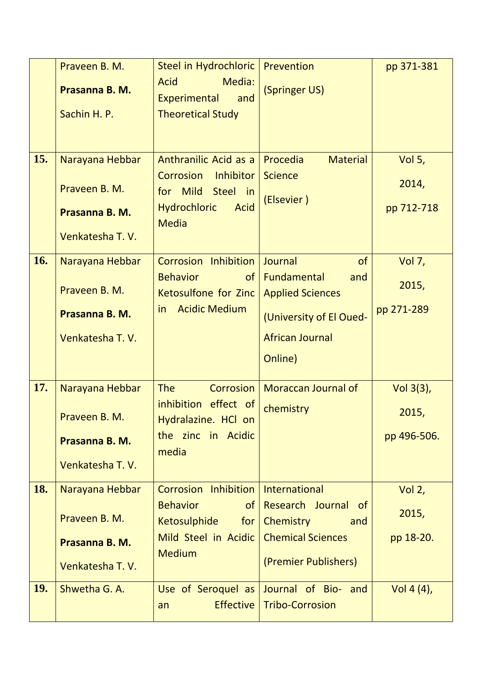|     | Praveen B. M.   | Steel in Hydrochloric                                           | Prevention                                                       | pp 371-381    |
|-----|-----------------|-----------------------------------------------------------------|------------------------------------------------------------------|---------------|
|     | Prasanna B. M.  | Media:<br><b>Acid</b><br>Experimental<br>and                    | (Springer US)                                                    |               |
|     | Sachin H. P.    | <b>Theoretical Study</b>                                        |                                                                  |               |
| 15. | Narayana Hebbar | Anthranilic Acid as a                                           | Procedia<br><b>Material</b>                                      | <b>Vol 5,</b> |
|     | Praveen B. M.   | <b>Corrosion</b><br><b>Inhibitor</b><br>for Mild Steel in       | <b>Science</b>                                                   | 2014,         |
|     | Prasanna B. M.  | <b>Hydrochloric</b><br><b>Acid</b>                              | (Elsevier)                                                       | pp 712-718    |
|     | Venkatesha T.V. | <b>Media</b>                                                    |                                                                  |               |
|     |                 |                                                                 |                                                                  |               |
| 16. | Narayana Hebbar | <b>Corrosion Inhibition</b><br><b>Behavior</b><br><sub>of</sub> | of<br>Journal<br>Fundamental<br>and                              | Vol 7,        |
|     | Praveen B. M.   | <b>Ketosulfone for Zinc</b>                                     | <b>Applied Sciences</b>                                          | 2015,         |
|     | Prasanna B. M.  | <b>Acidic Medium</b><br>in                                      | (University of El Oued-                                          | pp 271-289    |
|     | Venkatesha T.V. |                                                                 | <b>African Journal</b>                                           |               |
|     |                 |                                                                 | Online)                                                          |               |
| 17. | Narayana Hebbar | <b>The</b><br><b>Corrosion</b>                                  | <b>Moraccan Journal of</b>                                       | Vol 3(3),     |
|     | Praveen B. M.   | inhibition effect of<br>Hydralazine. HCl on                     | chemistry                                                        | 2015,         |
|     | Prasanna B. M.  | the zinc in Acidic                                              |                                                                  | pp 496-506.   |
|     | Venkatesha T.V. | media                                                           |                                                                  |               |
| 18. | Narayana Hebbar | Corrosion Inhibition                                            | International                                                    | Vol $2,$      |
|     |                 | <b>Behavior</b><br>of                                           | Research Journal of                                              |               |
|     | Praveen B. M.   | Ketosulphide<br>for                                             | Chemistry<br>and                                                 | 2015,         |
|     | Prasanna B. M.  | Mild Steel in Acidic<br><b>Medium</b>                           | <b>Chemical Sciences</b>                                         | pp 18-20.     |
|     | Venkatesha T.V. |                                                                 | (Premier Publishers)                                             |               |
| 19. | Shwetha G. A.   | <b>Effective</b><br>an                                          | Use of Seroquel as Journal of Bio- and<br><b>Tribo-Corrosion</b> | Vol 4 (4),    |
|     |                 |                                                                 |                                                                  |               |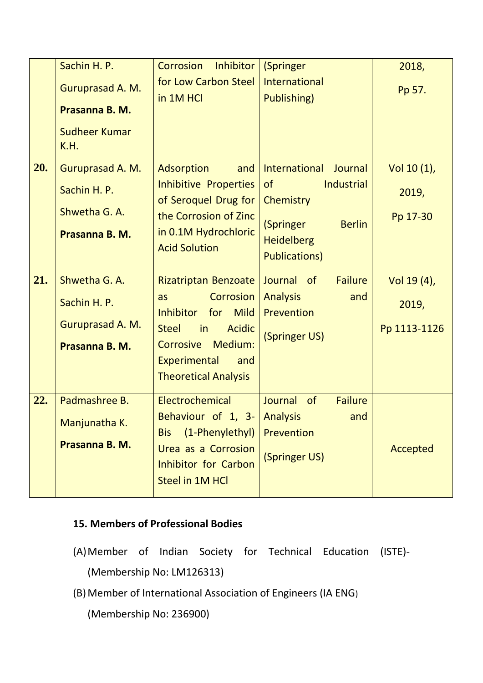|     | Sachin H. P.                 | Inhibitor<br><b>Corrosion</b>                                                 | (Springer                           | 2018,        |
|-----|------------------------------|-------------------------------------------------------------------------------|-------------------------------------|--------------|
|     | Guruprasad A. M.             | for Low Carbon Steel<br>in 1M HCl                                             | <b>International</b><br>Publishing) | Pp 57.       |
|     | Prasanna B. M.               |                                                                               |                                     |              |
|     | <b>Sudheer Kumar</b><br>K.H. |                                                                               |                                     |              |
| 20. | Guruprasad A. M.             | <b>Adsorption</b><br>and                                                      | International<br>Journal            | Vol 10 (1),  |
|     | Sachin H. P.                 | Inhibitive Properties<br>of Seroquel Drug for                                 | of<br>Industrial<br>Chemistry       | 2019,        |
|     | Shwetha G. A.                | the Corrosion of Zinc                                                         | (Springer<br><b>Berlin</b>          | Pp 17-30     |
|     | Prasanna B. M.               | in 0.1M Hydrochloric                                                          | <b>Heidelberg</b>                   |              |
|     |                              | <b>Acid Solution</b>                                                          | <b>Publications)</b>                |              |
| 21. | Shwetha G. A.                | <b>Rizatriptan Benzoate</b>                                                   | Journal of<br><b>Failure</b>        | Vol 19 (4),  |
|     | Sachin H. P.                 | Corrosion<br>as                                                               | <b>Analysis</b><br>and              | 2019,        |
|     | Guruprasad A. M.             | <b>Inhibitor</b><br><b>Mild</b><br>for<br><b>Steel</b><br>in<br><b>Acidic</b> | Prevention                          | Pp 1113-1126 |
|     | Prasanna B. M.               | <b>Corrosive</b><br>Medium:                                                   | (Springer US)                       |              |
|     |                              | <b>Experimental</b><br>and                                                    |                                     |              |
|     |                              | <b>Theoretical Analysis</b>                                                   |                                     |              |
| 22. | Padmashree B.                | Electrochemical                                                               | of<br>Journal<br><b>Failure</b>     |              |
|     | Manjunatha K.                | Behaviour of 1, $3 -$ Analysis                                                | and                                 |              |
|     | Prasanna B. M.               | (1-Phenylethyl)<br><b>Bis</b>                                                 | Prevention                          |              |
|     |                              | Urea as a Corrosion<br>Inhibitor for Carbon                                   | (Springer US)                       | Accepted     |
|     |                              | Steel in 1M HCl                                                               |                                     |              |

#### **15. Members of Professional Bodies**

- (A)Member of Indian Society for Technical Education (ISTE)- (Membership No: LM126313)
- (B)Member of International Association of Engineers (IA ENG)

(Membership No: 236900)